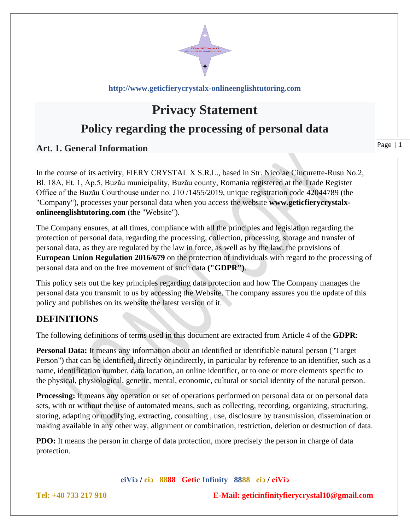

# **Privacy Statement Policy regarding the processing of personal data**

# **Art. 1. General Information**

In the course of its activity, FIERY CRYSTAL X S.R.L., based in Str. Nicolae Ciucurette-Rusu No.2, Bl. 18A, Et. 1, Ap.5, Buzău municipality, Buzău county, Romania registered at the Trade Register Office of the Buzău Courthouse under no. J10 /1455/2019, unique registration code 42044789 (the "Company"), processes your personal data when you access the website **www.geticfierycrystalxonlineenglishtutoring.com** (the "Website").

The Company ensures, at all times, compliance with all the principles and legislation regarding the protection of personal data, regarding the processing, collection, processing, storage and transfer of personal data, as they are regulated by the law in force, as well as by the law. the provisions of **European Union Regulation 2016/679** on the protection of individuals with regard to the processing of personal data and on the free movement of such data **("GDPR")**.

This policy sets out the key principles regarding data protection and how The Company manages the personal data you transmit to us by accessing the Website. The company assures you the update of this policy and publishes on its website the latest version of it.

# **DEFINITIONS**

The following definitions of terms used in this document are extracted from Article 4 of the **GDPR**:

**Personal Data:** It means any information about an identified or identifiable natural person ("Target Person") that can be identified, directly or indirectly, in particular by reference to an identifier, such as a name, identification number, data location, an online identifier, or to one or more elements specific to the physical, physiological, genetic, mental, economic, cultural or social identity of the natural person.

**Processing:** It means any operation or set of operations performed on personal data or on personal data sets, with or without the use of automated means, such as collecting, recording, organizing, structuring, storing, adapting or modifying, extracting, consulting , use, disclosure by transmission, dissemination or making available in any other way, alignment or combination, restriction, deletion or destruction of data.

**PDO:** It means the person in charge of data protection, more precisely the person in charge of data protection.

**ciViↄ / ciↄ 8888 Getic Infinity 8888 ciↄ / ciViↄ**

**Tel: +40 733 217 910 E-Mail: geticinfinityfierycrystal10@gmail.com**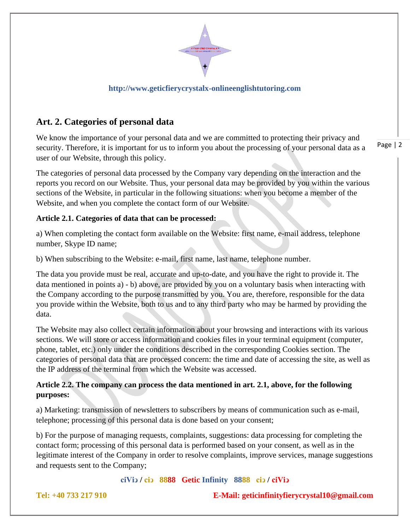

## **Art. 2. Categories of personal data**

We know the importance of your personal data and we are committed to protecting their privacy and security. Therefore, it is important for us to inform you about the processing of your personal data as a user of our Website, through this policy.

The categories of personal data processed by the Company vary depending on the interaction and the reports you record on our Website. Thus, your personal data may be provided by you within the various sections of the Website, in particular in the following situations: when you become a member of the Website, and when you complete the contact form of our Website.

#### **Article 2.1. Categories of data that can be processed:**

a) When completing the contact form available on the Website: first name, e-mail address, telephone number, Skype ID name;

b) When subscribing to the Website: e-mail, first name, last name, telephone number.

The data you provide must be real, accurate and up-to-date, and you have the right to provide it. The data mentioned in points a) - b) above, are provided by you on a voluntary basis when interacting with the Company according to the purpose transmitted by you. You are, therefore, responsible for the data you provide within the Website, both to us and to any third party who may be harmed by providing the data.

The Website may also collect certain information about your browsing and interactions with its various sections. We will store or access information and cookies files in your terminal equipment (computer, phone, tablet, etc.) only under the conditions described in the corresponding Cookies section. The categories of personal data that are processed concern: the time and date of accessing the site, as well as the IP address of the terminal from which the Website was accessed.

## **Article 2.2. The company can process the data mentioned in art. 2.1, above, for the following purposes:**

a) Marketing: transmission of newsletters to subscribers by means of communication such as e-mail, telephone; processing of this personal data is done based on your consent;

b) For the purpose of managing requests, complaints, suggestions: data processing for completing the contact form; processing of this personal data is performed based on your consent, as well as in the legitimate interest of the Company in order to resolve complaints, improve services, manage suggestions and requests sent to the Company;

#### **ciViↄ / ciↄ 8888 Getic Infinity 8888 ciↄ / ciViↄ**

**Tel: +40 733 217 910 E-Mail: geticinfinityfierycrystal10@gmail.com**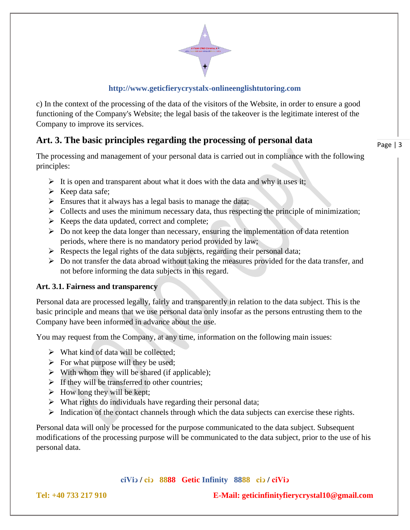

c) In the context of the processing of the data of the visitors of the Website, in order to ensure a good functioning of the Company's Website; the legal basis of the takeover is the legitimate interest of the Company to improve its services.

# **Art. 3. The basic principles regarding the processing of personal data**

Page | 3

The processing and management of your personal data is carried out in compliance with the following principles:

- $\triangleright$  It is open and transparent about what it does with the data and why it uses it;
- ➢ Keep data safe;
- $\triangleright$  Ensures that it always has a legal basis to manage the data;
- $\triangleright$  Collects and uses the minimum necessary data, thus respecting the principle of minimization;
- $\triangleright$  Keeps the data updated, correct and complete;
- $\triangleright$  Do not keep the data longer than necessary, ensuring the implementation of data retention periods, where there is no mandatory period provided by law;
- $\triangleright$  Respects the legal rights of the data subjects, regarding their personal data;
- ➢ Do not transfer the data abroad without taking the measures provided for the data transfer, and not before informing the data subjects in this regard.

#### **Art. 3.1. Fairness and transparency**

Personal data are processed legally, fairly and transparently in relation to the data subject. This is the basic principle and means that we use personal data only insofar as the persons entrusting them to the Company have been informed in advance about the use.

You may request from the Company, at any time, information on the following main issues:

- $\triangleright$  What kind of data will be collected:
- $\triangleright$  For what purpose will they be used;
- $\triangleright$  With whom they will be shared (if applicable);
- $\triangleright$  If they will be transferred to other countries;
- $\triangleright$  How long they will be kept;
- ➢ What rights do individuals have regarding their personal data;
- ➢ Indication of the contact channels through which the data subjects can exercise these rights.

Personal data will only be processed for the purpose communicated to the data subject. Subsequent modifications of the processing purpose will be communicated to the data subject, prior to the use of his personal data.

#### **ciViↄ / ciↄ 8888 Getic Infinity 8888 ciↄ / ciViↄ**

**Tel: +40 733 217 910 E-Mail: geticinfinityfierycrystal10@gmail.com**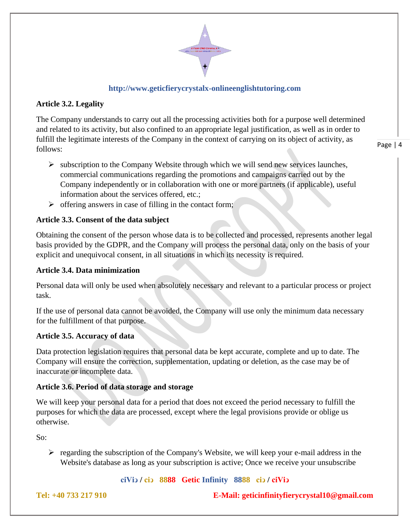

## **Article 3.2. Legality**

The Company understands to carry out all the processing activities both for a purpose well determined and related to its activity, but also confined to an appropriate legal justification, as well as in order to fulfill the legitimate interests of the Company in the context of carrying on its object of activity, as follows:

 $\triangleright$  subscription to the Company Website through which we will send new services launches, commercial communications regarding the promotions and campaigns carried out by the Company independently or in collaboration with one or more partners (if applicable), useful information about the services offered, etc.;

 $\triangleright$  offering answers in case of filling in the contact form;

#### **Article 3.3. Consent of the data subject**

Obtaining the consent of the person whose data is to be collected and processed, represents another legal basis provided by the GDPR, and the Company will process the personal data, only on the basis of your explicit and unequivocal consent, in all situations in which its necessity is required.

#### **Article 3.4. Data minimization**

Personal data will only be used when absolutely necessary and relevant to a particular process or project task.

If the use of personal data cannot be avoided, the Company will use only the minimum data necessary for the fulfillment of that purpose.

#### **Article 3.5. Accuracy of data**

Data protection legislation requires that personal data be kept accurate, complete and up to date. The Company will ensure the correction, supplementation, updating or deletion, as the case may be of inaccurate or incomplete data.

#### **Article 3.6. Period of data storage and storage**

We will keep your personal data for a period that does not exceed the period necessary to fulfill the purposes for which the data are processed, except where the legal provisions provide or oblige us otherwise.

So:

 $\triangleright$  regarding the subscription of the Company's Website, we will keep your e-mail address in the Website's database as long as your subscription is active; Once we receive your unsubscribe

#### **ciViↄ / ciↄ 8888 Getic Infinity 8888 ciↄ / ciViↄ**

**Tel: +40 733 217 910 E-Mail: geticinfinityfierycrystal10@gmail.com**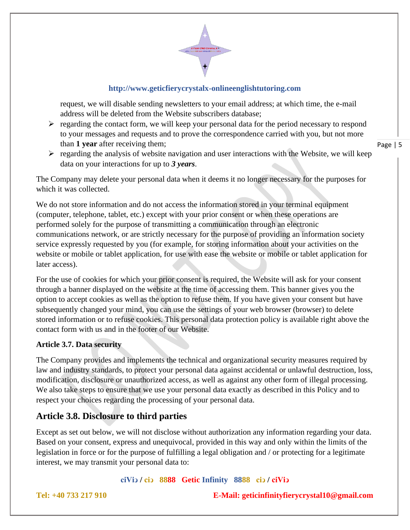

request, we will disable sending newsletters to your email address; at which time, the e-mail address will be deleted from the Website subscribers database;

- $\triangleright$  regarding the contact form, we will keep your personal data for the period necessary to respond to your messages and requests and to prove the correspondence carried with you, but not more than **1 year** after receiving them;
- $\triangleright$  regarding the analysis of website navigation and user interactions with the Website, we will keep data on your interactions for up to *3 years*.

The Company may delete your personal data when it deems it no longer necessary for the purposes for which it was collected.

We do not store information and do not access the information stored in your terminal equipment (computer, telephone, tablet, etc.) except with your prior consent or when these operations are performed solely for the purpose of transmitting a communication through an electronic communications network, or are strictly necessary for the purpose of providing an information society service expressly requested by you (for example, for storing information about your activities on the website or mobile or tablet application, for use with ease the website or mobile or tablet application for later access).

For the use of cookies for which your prior consent is required, the Website will ask for your consent through a banner displayed on the website at the time of accessing them. This banner gives you the option to accept cookies as well as the option to refuse them. If you have given your consent but have subsequently changed your mind, you can use the settings of your web browser (browser) to delete stored information or to refuse cookies. This personal data protection policy is available right above the contact form with us and in the footer of our Website.

#### **Article 3.7. Data security**

The Company provides and implements the technical and organizational security measures required by law and industry standards, to protect your personal data against accidental or unlawful destruction, loss, modification, disclosure or unauthorized access, as well as against any other form of illegal processing. We also take steps to ensure that we use your personal data exactly as described in this Policy and to respect your choices regarding the processing of your personal data.

## **Article 3.8. Disclosure to third parties**

Except as set out below, we will not disclose without authorization any information regarding your data. Based on your consent, express and unequivocal, provided in this way and only within the limits of the legislation in force or for the purpose of fulfilling a legal obligation and / or protecting for a legitimate interest, we may transmit your personal data to:

#### **ciViↄ / ciↄ 8888 Getic Infinity 8888 ciↄ / ciViↄ**

**Tel: +40 733 217 910 E-Mail: geticinfinityfierycrystal10@gmail.com**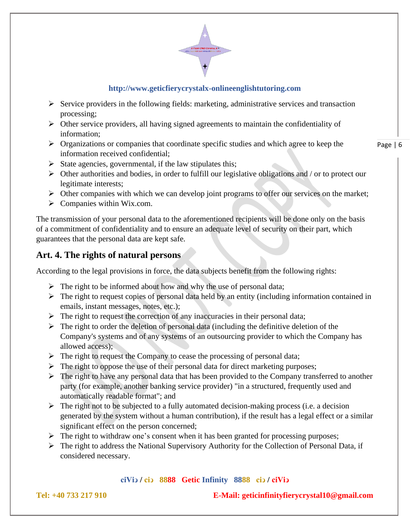

- $\triangleright$  Service providers in the following fields: marketing, administrative services and transaction processing;
- ➢ Other service providers, all having signed agreements to maintain the confidentiality of information;
- ➢ Organizations or companies that coordinate specific studies and which agree to keep the information received confidential;

Page | 6

- $\triangleright$  State agencies, governmental, if the law stipulates this;
- $\triangleright$  Other authorities and bodies, in order to fulfill our legislative obligations and / or to protect our legitimate interests;
- $\triangleright$  Other companies with which we can develop joint programs to offer our services on the market;
- ➢ Companies within Wix.com.

The transmission of your personal data to the aforementioned recipients will be done only on the basis of a commitment of confidentiality and to ensure an adequate level of security on their part, which guarantees that the personal data are kept safe.

# **Art. 4. The rights of natural persons**

According to the legal provisions in force, the data subjects benefit from the following rights:

- $\triangleright$  The right to be informed about how and why the use of personal data;
- $\triangleright$  The right to request copies of personal data held by an entity (including information contained in emails, instant messages, notes, etc.);
- $\triangleright$  The right to request the correction of any inaccuracies in their personal data;
- $\triangleright$  The right to order the deletion of personal data (including the definitive deletion of the Company's systems and of any systems of an outsourcing provider to which the Company has allowed access);
- $\triangleright$  The right to request the Company to cease the processing of personal data;
- $\triangleright$  The right to oppose the use of their personal data for direct marketing purposes;
- $\triangleright$  The right to have any personal data that has been provided to the Company transferred to another party (for example, another banking service provider) "in a structured, frequently used and automatically readable format"; and
- $\triangleright$  The right not to be subjected to a fully automated decision-making process (i.e. a decision generated by the system without a human contribution), if the result has a legal effect or a similar significant effect on the person concerned;
- ➢ The right to withdraw one's consent when it has been granted for processing purposes;
- ➢ The right to address the National Supervisory Authority for the Collection of Personal Data, if considered necessary.

#### **ciViↄ / ciↄ 8888 Getic Infinity 8888 ciↄ / ciViↄ**

**Tel: +40 733 217 910 E-Mail: geticinfinityfierycrystal10@gmail.com**